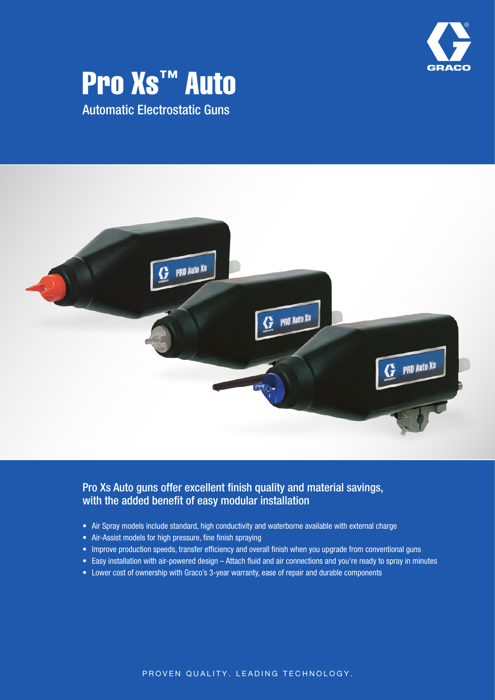

# Pro **Xs<sup>™</sup> Auto**

Automatic Electrostatic Guns



### Pro Xs Auto guns offer excellent finish quality and material savings, with the added benefit of easy modular installation

- Air Spray models include standard, high conductivity and waterborne available with external charge
- Air-Assist models for high pressure, fine finish spraying
- Improve production speeds, transfer efficiency and overall finish when you upgrade from conventional guns
- Easy installation with air-powered design Attach fluid and air connections and you're ready to spray in minutes
- Lower cost of ownership with Graco's 3-year warranty, ease of repair and durable components